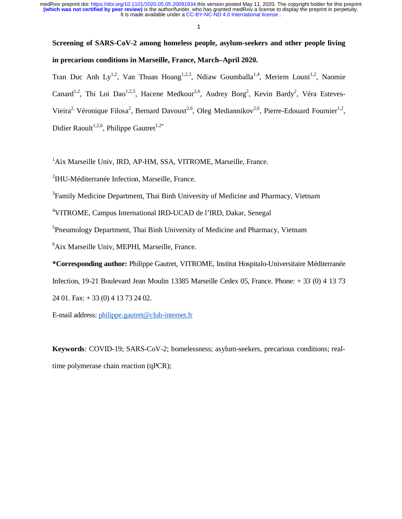# **Screening of SARS-CoV-2 among homeless people, asylum-seekers and other people living in precarious conditions in Marseille, France, March–April 2020.**

Tran Duc Anh Ly<sup>1,2</sup>, Van Thuan Hoang<sup>1,2,3</sup>, Ndiaw Goumballa<sup>1,4</sup>, Meriem Louni<sup>1,2</sup>, Naomie Canard<sup>1,2</sup>, Thi Loi Dao<sup>1,2,5</sup>, Hacene Medkour<sup>2,6</sup>, Audrey Borg<sup>2</sup>, Kevin Bardy<sup>2</sup>, Véra Esteves-Vieira<sup>2,</sup> Véronique Filosa<sup>2</sup>, Bernard Davoust<sup>2,6</sup>, Oleg Mediannikov<sup>2,6</sup>, Pierre-Edouard Fournier<sup>1,2</sup>, Didier Raoult<sup>1,2,6</sup>, Philippe Gautret<sup>1,2\*</sup>

<sup>1</sup> Aix Marseille Univ, IRD, AP-HM, SSA, VITROME, Marseille, France.

<sup>2</sup>IHU-Méditerranée Infection, Marseille, France.

<sup>3</sup> Family Medicine Department, Thai Binh University of Medicine and Pharmacy, Vietnam

4 VITROME, Campus International IRD-UCAD de l'IRD, Dakar, Senegal

<sup>5</sup>Pneumology Department, Thai Binh University of Medicine and Pharmacy, Vietnam

6 Aix Marseille Univ, MEPHI, Marseille, France.

**\*Corresponding author:** Philippe Gautret, VITROME, Institut Hospitalo-Universitaire Méditerranée

Infection, 19-21 Boulevard Jean Moulin 13385 Marseille Cedex 05, France. Phone: + 33 (0) 4 13 73

24 01. Fax: + 33 (0) 4 13 73 24 02.

E-mail address: philippe.gautret@club-internet.fr

**Keywords**: COVID-19; SARS-CoV-2; homelessness; asylum-seekers, precarious conditions; realtime polymerase chain reaction (qPCR);

1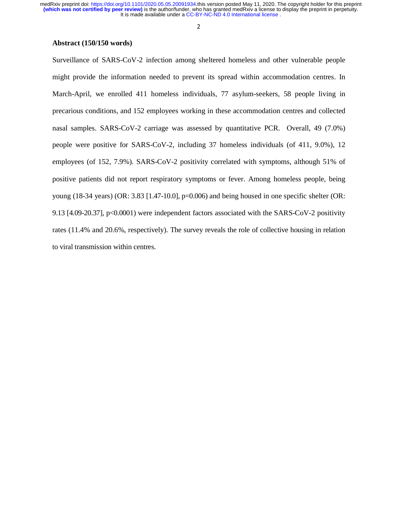2

# **Abstract (150/150 words)**

Surveillance of SARS-CoV-2 infection among sheltered homeless and other vulnerable people might provide the information needed to prevent its spread within accommodation centres. In March-April, we enrolled 411 homeless individuals, 77 asylum-seekers, 58 people living in precarious conditions, and 152 employees working in these accommodation centres and collected nasal samples. SARS-CoV-2 carriage was assessed by quantitative PCR. Overall, 49 (7.0%) people were positive for SARS-CoV-2, including 37 homeless individuals (of 411, 9.0%), 12 employees (of 152, 7.9%). SARS-CoV-2 positivity correlated with symptoms, although 51% of positive patients did not report respiratory symptoms or fever. Among homeless people, being young (18-34 years) (OR:  $3.83$  [1.47-10.0], p=0.006) and being housed in one specific shelter (OR: 9.13 [4.09-20.37], p<0.0001) were independent factors associated with the SARS-CoV-2 positivity rates (11.4% and 20.6%, respectively). The survey reveals the role of collective housing in relation to viral transmission within centres.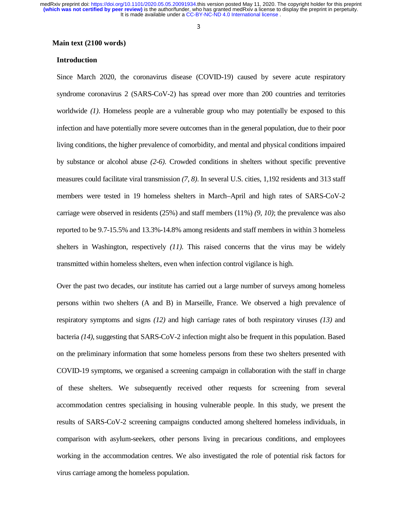> 3 3

# **Main text (2100 words)**

#### **Introduction**

Since March 2020, the coronavirus disease (COVID-19) caused by severe acute respiratory syndrome coronavirus 2 (SARS-CoV-2) has spread over more than 200 countries and territories worldwide *(1)*. Homeless people are a vulnerable group who may potentially be exposed to this infection and have potentially more severe outcomes than in the general population, due to their poor living conditions, the higher prevalence of comorbidity, and mental and physical conditions impaired by substance or alcohol abuse *(2-6)*. Crowded conditions in shelters without specific preventive measures could facilitate viral transmission *(7, 8)*. In several U.S. cities, 1,192 residents and 313 staff members were tested in 19 homeless shelters in March–April and high rates of SARS-CoV-2 carriage were observed in residents (25%) and staff members (11%) *(9, 10)*; the prevalence was also reported to be 9.7-15.5% and 13.3%-14.8% among residents and staff members in within 3 homeless shelters in Washington, respectively *(11)*. This raised concerns that the virus may be widely transmitted within homeless shelters, even when infection control vigilance is high.

Over the past two decades, our institute has carried out a large number of surveys among homeless persons within two shelters (A and B) in Marseille, France. We observed a high prevalence of respiratory symptoms and signs *(12)* and high carriage rates of both respiratory viruses *(13)* and bacteria *(14)*, suggesting that SARS-CoV-2 infection might also be frequent in this population. Based on the preliminary information that some homeless persons from these two shelters presented with COVID-19 symptoms, we organised a screening campaign in collaboration with the staff in charge of these shelters. We subsequently received other requests for screening from several accommodation centres specialising in housing vulnerable people. In this study, we present the results of SARS-CoV-2 screening campaigns conducted among sheltered homeless individuals, in comparison with asylum-seekers, other persons living in precarious conditions, and employees working in the accommodation centres. We also investigated the role of potential risk factors for virus carriage among the homeless population.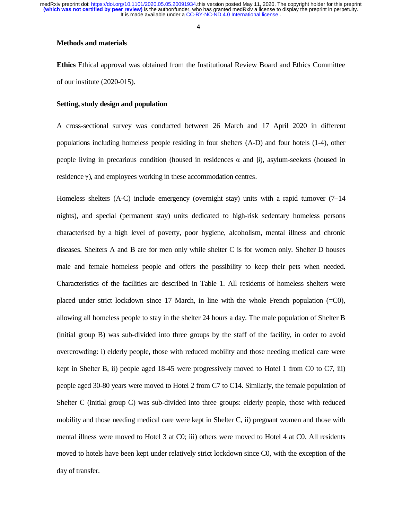> 4 4

#### **Methods and materials**

**Ethics** Ethical approval was obtained from the Institutional Review Board and Ethics Committee of our institute (2020-015).

#### **Setting, study design and population**

A cross-sectional survey was conducted between 26 March and 17 April 2020 in different populations including homeless people residing in four shelters (A-D) and four hotels (1-4), other people living in precarious condition (housed in residences α and β), asylum-seekers (housed in residence γ), and employees working in these accommodation centres.

Homeless shelters (A-C) include emergency (overnight stay) units with a rapid turnover (7–14 nights), and special (permanent stay) units dedicated to high-risk sedentary homeless persons characterised by a high level of poverty, poor hygiene, alcoholism, mental illness and chronic diseases. Shelters A and B are for men only while shelter C is for women only. Shelter D houses male and female homeless people and offers the possibility to keep their pets when needed. Characteristics of the facilities are described in Table 1. All residents of homeless shelters were placed under strict lockdown since 17 March, in line with the whole French population  $(=C0)$ , allowing all homeless people to stay in the shelter 24 hours a day. The male population of Shelter B (initial group B) was sub-divided into three groups by the staff of the facility, in order to avoid overcrowding: i) elderly people, those with reduced mobility and those needing medical care were kept in Shelter B, ii) people aged 18-45 were progressively moved to Hotel 1 from C0 to C7, iii) people aged 30-80 years were moved to Hotel 2 from C7 to C14. Similarly, the female population of Shelter C (initial group C) was sub-divided into three groups: elderly people, those with reduced mobility and those needing medical care were kept in Shelter C, ii) pregnant women and those with mental illness were moved to Hotel 3 at C0; iii) others were moved to Hotel 4 at C0. All residents moved to hotels have been kept under relatively strict lockdown since C0, with the exception of the day of transfer.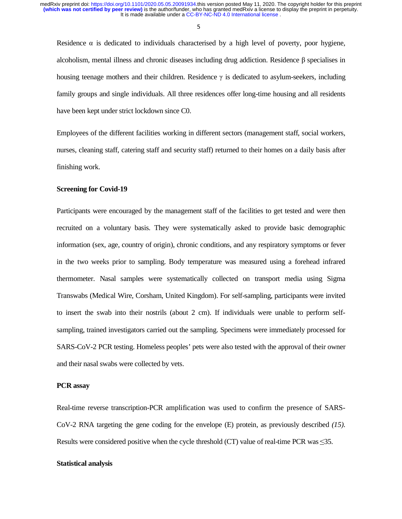> 5 5

Residence  $\alpha$  is dedicated to individuals characterised by a high level of poverty, poor hygiene, alcoholism, mental illness and chronic diseases including drug addiction. Residence β specialises in housing teenage mothers and their children. Residence  $\gamma$  is dedicated to asylum-seekers, including family groups and single individuals. All three residences offer long-time housing and all residents have been kept under strict lockdown since C0.

Employees of the different facilities working in different sectors (management staff, social workers, nurses, cleaning staff, catering staff and security staff) returned to their homes on a daily basis after finishing work.

## **Screening for Covid-19**

Participants were encouraged by the management staff of the facilities to get tested and were then recruited on a voluntary basis. They were systematically asked to provide basic demographic information (sex, age, country of origin), chronic conditions, and any respiratory symptoms or fever in the two weeks prior to sampling. Body temperature was measured using a forehead infrared thermometer. Nasal samples were systematically collected on transport media using Sigma Transwabs (Medical Wire, Corsham, United Kingdom). For self-sampling, participants were invited to insert the swab into their nostrils (about 2 cm). If individuals were unable to perform selfsampling, trained investigators carried out the sampling. Specimens were immediately processed for SARS-CoV-2 PCR testing. Homeless peoples' pets were also tested with the approval of their owner and their nasal swabs were collected by vets.

#### **PCR assay**

Real-time reverse transcription-PCR amplification was used to confirm the presence of SARS-CoV-2 RNA targeting the gene coding for the envelope (E) protein, as previously described *(15)*. Results were considered positive when the cycle threshold (CT) value of real-time PCR was ≤35.

#### **Statistical analysis**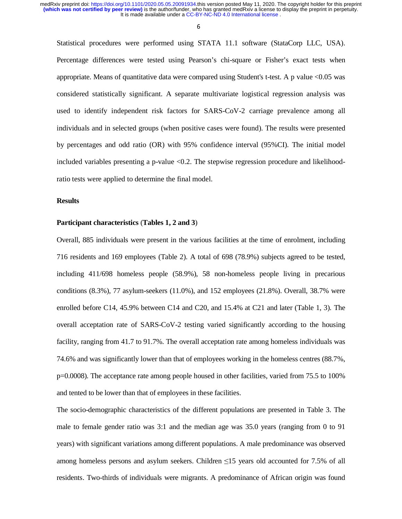> 6 6

Statistical procedures were performed using STATA 11.1 software (StataCorp LLC, USA). Percentage differences were tested using Pearson's chi-square or Fisher's exact tests when appropriate. Means of quantitative data were compared using Student's t-test. A p value <0.05 was considered statistically significant. A separate multivariate logistical regression analysis was used to identify independent risk factors for SARS-CoV-2 carriage prevalence among all individuals and in selected groups (when positive cases were found). The results were presented by percentages and odd ratio (OR) with 95% confidence interval (95%CI). The initial model included variables presenting a p-value <0.2. The stepwise regression procedure and likelihoodratio tests were applied to determine the final model.

#### **Results**

#### **Participant characteristics** (**Tables 1, 2 and 3**)

Overall, 885 individuals were present in the various facilities at the time of enrolment, including 716 residents and 169 employees (Table 2). A total of 698 (78.9%) subjects agreed to be tested, including 411/698 homeless people (58.9%), 58 non-homeless people living in precarious conditions (8.3%), 77 asylum-seekers (11.0%), and 152 employees (21.8%). Overall, 38.7% were enrolled before C14, 45.9% between C14 and C20, and 15.4% at C21 and later (Table 1, 3). The overall acceptation rate of SARS-CoV-2 testing varied significantly according to the housing facility, ranging from 41.7 to 91.7%. The overall acceptation rate among homeless individuals was 74.6% and was significantly lower than that of employees working in the homeless centres (88.7%, p=0.0008). The acceptance rate among people housed in other facilities, varied from 75.5 to 100% and tented to be lower than that of employees in these facilities.

The socio-demographic characteristics of the different populations are presented in Table 3. The male to female gender ratio was 3:1 and the median age was 35.0 years (ranging from 0 to 91 years) with significant variations among different populations. A male predominance was observed among homeless persons and asylum seekers. Children ≤15 years old accounted for 7.5% of all residents. Two-thirds of individuals were migrants. A predominance of African origin was found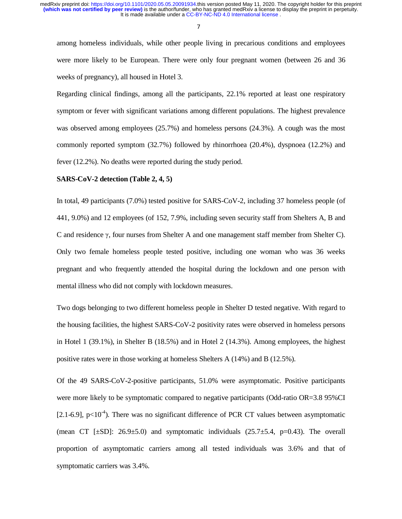> $\overline{7}$ 7

among homeless individuals, while other people living in precarious conditions and employees were more likely to be European. There were only four pregnant women (between 26 and 36 weeks of pregnancy), all housed in Hotel 3.

Regarding clinical findings, among all the participants, 22.1% reported at least one respiratory symptom or fever with significant variations among different populations. The highest prevalence was observed among employees (25.7%) and homeless persons (24.3%). A cough was the most commonly reported symptom (32.7%) followed by rhinorrhoea (20.4%), dyspnoea (12.2%) and fever (12.2%). No deaths were reported during the study period.

#### **SARS-CoV-2 detection (Table 2, 4, 5)**

In total, 49 participants (7.0%) tested positive for SARS-CoV-2, including 37 homeless people (of 441, 9.0%) and 12 employees (of 152, 7.9%, including seven security staff from Shelters A, B and C and residence γ, four nurses from Shelter A and one management staff member from Shelter C). Only two female homeless people tested positive, including one woman who was 36 weeks pregnant and who frequently attended the hospital during the lockdown and one person with mental illness who did not comply with lockdown measures.

Two dogs belonging to two different homeless people in Shelter D tested negative. With regard to the housing facilities, the highest SARS-CoV-2 positivity rates were observed in homeless persons in Hotel 1 (39.1%), in Shelter B (18.5%) and in Hotel 2 (14.3%). Among employees, the highest positive rates were in those working at homeless Shelters A (14%) and B (12.5%).

Of the 49 SARS-CoV-2-positive participants, 51.0% were asymptomatic. Positive participants were more likely to be symptomatic compared to negative participants (Odd-ratio OR=3.8 95%CI [2.1-6.9],  $p<10^{-4}$ ). There was no significant difference of PCR CT values between asymptomatic (mean CT [ $\pm$ SD]: 26.9 $\pm$ 5.0) and symptomatic individuals (25.7 $\pm$ 5.4, p=0.43). The overall proportion of asymptomatic carriers among all tested individuals was 3.6% and that of symptomatic carriers was 3.4%.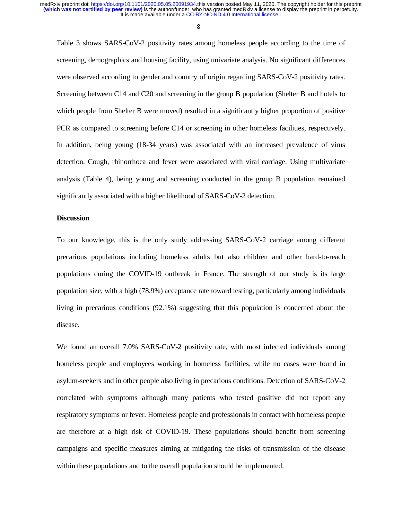> 8 8

Table 3 shows SARS-CoV-2 positivity rates among homeless people according to the time of screening, demographics and housing facility, using univariate analysis. No significant differences were observed according to gender and country of origin regarding SARS-CoV-2 positivity rates. Screening between C14 and C20 and screening in the group B population (Shelter B and hotels to which people from Shelter B were moved) resulted in a significantly higher proportion of positive PCR as compared to screening before C14 or screening in other homeless facilities, respectively. In addition, being young (18-34 years) was associated with an increased prevalence of virus detection. Cough, rhinorrhoea and fever were associated with viral carriage. Using multivariate analysis (Table 4), being young and screening conducted in the group B population remained significantly associated with a higher likelihood of SARS-CoV-2 detection.

## **Discussion**

To our knowledge, this is the only study addressing SARS-CoV-2 carriage among different precarious populations including homeless adults but also children and other hard-to-reach populations during the COVID-19 outbreak in France. The strength of our study is its large population size, with a high (78.9%) acceptance rate toward testing, particularly among individuals living in precarious conditions (92.1%) suggesting that this population is concerned about the disease.

We found an overall 7.0% SARS-CoV-2 positivity rate, with most infected individuals among homeless people and employees working in homeless facilities, while no cases were found in asylum-seekers and in other people also living in precarious conditions. Detection of SARS-CoV-2 correlated with symptoms although many patients who tested positive did not report any respiratory symptoms or fever. Homeless people and professionals in contact with homeless people are therefore at a high risk of COVID-19. These populations should benefit from screening campaigns and specific measures aiming at mitigating the risks of transmission of the disease within these populations and to the overall population should be implemented.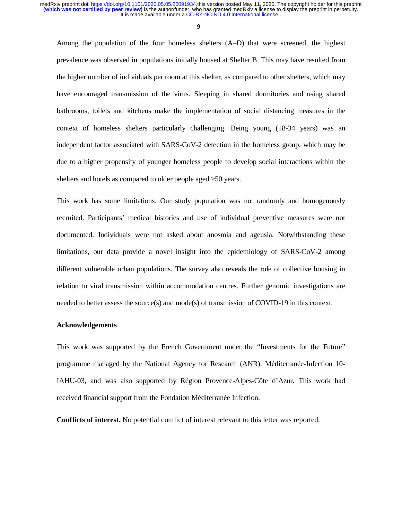> 9 9

Among the population of the four homeless shelters (A–D) that were screened, the highest prevalence was observed in populations initially housed at Shelter B. This may have resulted from the higher number of individuals per room at this shelter, as compared to other shelters, which may have encouraged transmission of the virus. Sleeping in shared dormitories and using shared bathrooms, toilets and kitchens make the implementation of social distancing measures in the context of homeless shelters particularly challenging. Being young (18-34 years) was an independent factor associated with SARS-CoV-2 detection in the homeless group, which may be due to a higher propensity of younger homeless people to develop social interactions within the shelters and hotels as compared to older people aged ≥50 years.

This work has some limitations. Our study population was not randomly and homogenously recruited. Participants' medical histories and use of individual preventive measures were not documented. Individuals were not asked about anosmia and ageusia. Notwithstanding these limitations, our data provide a novel insight into the epidemiology of SARS-CoV-2 among different vulnerable urban populations. The survey also reveals the role of collective housing in relation to viral transmission within accommodation centres. Further genomic investigations are needed to better assess the source(s) and mode(s) of transmission of COVID-19 in this context.

## **Acknowledgements**

This work was supported by the French Government under the "Investments for the Future" programme managed by the National Agency for Research (ANR), Méditerranée-Infection 10- IAHU-03, and was also supported by Région Provence-Alpes-Côte d'Azur. This work had received financial support from the Fondation Méditerranée Infection.

**Conflicts of interest.** No potential conflict of interest relevant to this letter was reported.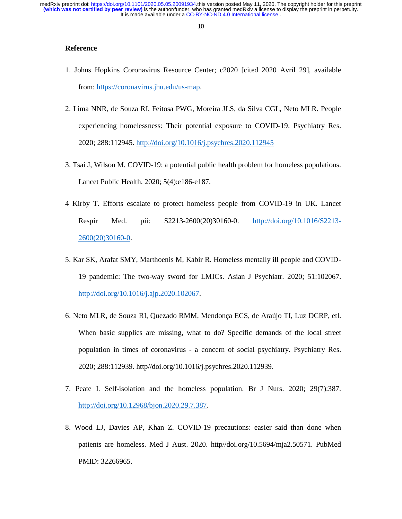#### **Reference**

- 1. Johns Hopkins Coronavirus Resource Center; c2020 [cited 2020 Avril 29], available from: https://coronavirus.jhu.edu/us-map.
- 2. Lima NNR, de Souza RI, Feitosa PWG, Moreira JLS, da Silva CGL, Neto MLR. People experiencing homelessness: Their potential exposure to COVID-19. Psychiatry Res. 2020; 288:112945. http://doi.org/10.1016/j.psychres.2020.112945
- 3. Tsai J, Wilson M. COVID-19: a potential public health problem for homeless populations. Lancet Public Health. 2020; 5(4):e186-e187.
- 4 Kirby T. Efforts escalate to protect homeless people from COVID-19 in UK. Lancet Respir Med. pii: S2213-2600(20)30160-0. http://doi.org/10.1016/S2213- 2600(20)30160-0.
- 5. Kar SK, Arafat SMY, Marthoenis M, Kabir R. Homeless mentally ill people and COVID-19 pandemic: The two-way sword for LMICs. Asian J Psychiatr. 2020; 51:102067. http://doi.org/10.1016/j.ajp.2020.102067.
- 6. Neto MLR, de Souza RI, Quezado RMM, Mendonça ECS, de Araújo TI, Luz DCRP, etl. When basic supplies are missing, what to do? Specific demands of the local street population in times of coronavirus - a concern of social psychiatry. Psychiatry Res. 2020; 288:112939. http//doi.org/10.1016/j.psychres.2020.112939.
- 7. Peate I. Self-isolation and the homeless population. Br J Nurs. 2020; 29(7):387. http://doi.org/10.12968/bjon.2020.29.7.387.
- 8. Wood LJ, Davies AP, Khan Z. COVID-19 precautions: easier said than done when patients are homeless. Med J Aust. 2020. http//doi.org/10.5694/mja2.50571. PubMed PMID: 32266965.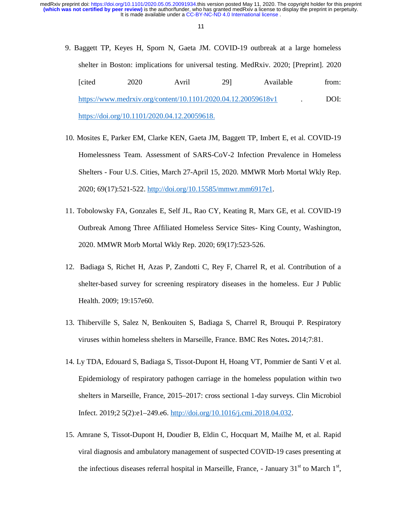- 9. Baggett TP, Keyes H, Sporn N, Gaeta JM. COVID-19 outbreak at a large homeless shelter in Boston: implications for universal testing. MedRxiv. 2020; [Preprint]. 2020 [cited 2020 Avril 29] Available from: https://www.medrxiv.org/content/10.1101/2020.04.12.20059618v1 . DOI: https://doi.org/10.1101/2020.04.12.20059618.
- 10. Mosites E, Parker EM, Clarke KEN, Gaeta JM, Baggett TP, Imbert E, et al. COVID-19 Homelessness Team. Assessment of SARS-CoV-2 Infection Prevalence in Homeless Shelters - Four U.S. Cities, March 27-April 15, 2020. MMWR Morb Mortal Wkly Rep. 2020; 69(17):521-522. http://doi.org/10.15585/mmwr.mm6917e1.
- 11. Tobolowsky FA, Gonzales E, Self JL, Rao CY, Keating R, Marx GE, et al. COVID-19 Outbreak Among Three Affiliated Homeless Service Sites- King County, Washington, 2020. MMWR Morb Mortal Wkly Rep. 2020; 69(17):523-526.
- 12. Badiaga S, Richet H, Azas P, Zandotti C, Rey F, Charrel R, et al. Contribution of a shelter-based survey for screening respiratory diseases in the homeless. Eur J Public Health. 2009; 19:157e60.
- 13. Thiberville S, Salez N, Benkouiten S, Badiaga S, Charrel R, Brouqui P. Respiratory viruses within homeless shelters in Marseille, France. BMC Res Notes**.** 2014;7:81.
- 14. Ly TDA, Edouard S, Badiaga S, Tissot-Dupont H, Hoang VT, Pommier de Santi V et al. Epidemiology of respiratory pathogen carriage in the homeless population within two shelters in Marseille, France, 2015–2017: cross sectional 1-day surveys. Clin Microbiol Infect. 2019;2 5(2):e1–249.e6. http://doi.org/10.1016/j.cmi.2018.04.032.
- 15. Amrane S, Tissot-Dupont H, Doudier B, Eldin C, Hocquart M, Mailhe M, et al. Rapid viral diagnosis and ambulatory management of suspected COVID-19 cases presenting at the infectious diseases referral hospital in Marseille, France,  $\overline{\phantom{a}}$ -January 31<sup>st</sup> to March 1<sup>st</sup>,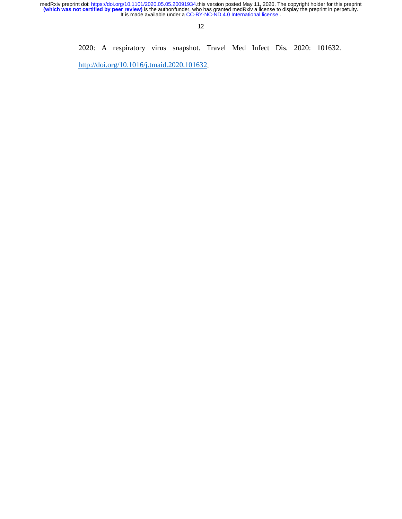2020: A respiratory virus snapshot. Travel Med Infect Dis. 2020: 101632.

http://doi.org/10.1016/j.tmaid.2020.101632.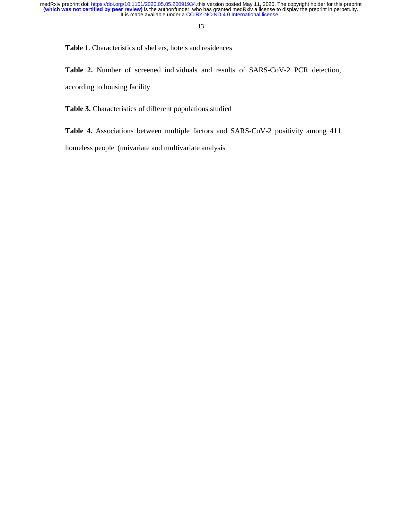**Table 1**. Characteristics of shelters, hotels and residences

**Table 2.** Number of screened individuals and results of SARS-CoV-2 PCR detection, according to housing facility

**Table 3.** Characteristics of different populations studied

**Table 4.** Associations between multiple factors and SARS-CoV-2 positivity among 411

homeless people (univariate and multivariate analysis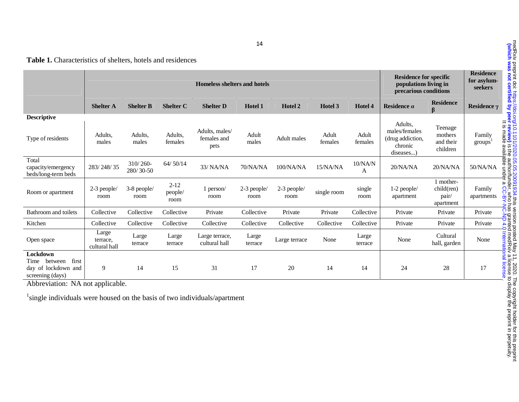Table 1. Characteristics of shelters, hotels and residences

|                                                                                 | <b>Homeless shelters and hotels</b> |                       |                           |                                       |                       |                     |                  | <b>Residence for specific</b><br>populations living in<br>precarious conditions |                                                                      | <b>Residence</b><br>for asylum-<br>seekers       |                                                          |
|---------------------------------------------------------------------------------|-------------------------------------|-----------------------|---------------------------|---------------------------------------|-----------------------|---------------------|------------------|---------------------------------------------------------------------------------|----------------------------------------------------------------------|--------------------------------------------------|----------------------------------------------------------|
|                                                                                 | <b>Shelter A</b>                    | <b>Shelter B</b>      | <b>Shelter C</b>          | <b>Shelter D</b>                      | <b>Hotel 1</b>        | Hotel 2             | Hotel 3          | <b>Hotel 4</b>                                                                  | Residence $\alpha$                                                   | <b>Residence</b><br>$\beta$                      | Residence y                                              |
| <b>Descriptive</b>                                                              |                                     |                       |                           |                                       |                       |                     |                  |                                                                                 |                                                                      |                                                  |                                                          |
| Type of residents                                                               | Adults,<br>males                    | Adults,<br>males      | Adults,<br>females        | Adults, males/<br>females and<br>pets | Adult<br>males        | Adult males         | Adult<br>females | Adult<br>females                                                                | Adults.<br>males/females<br>(drug addiction,<br>chronic<br>diseases) | Teenage<br>mothers<br>and their<br>children      | Family<br>$\gamma$ groups <sup><math>\gamma</math></sup> |
| Total<br>capacity/emergency<br>beds/long-term beds                              | 283/248/35                          | 310/260-<br>280/30-50 | 64/50/14                  | 33/ NA/NA                             | 70/NA/NA              | 100/NA/NA           | 15/NA/NA         | 10/NAN<br>А                                                                     | 20/NA/NA                                                             | 20/NA/NA                                         | 50/NA/NA                                                 |
| Room or apartment                                                               | 2-3 people/<br>room                 | 3-8 people/<br>room   | $2-12$<br>people/<br>room | person/<br>room                       | $2-3$ people/<br>room | 2-3 people/<br>room | single room      | single<br>room                                                                  | $1-2$ people/<br>apartment                                           | 1 mother-<br>$child$ (ren)<br>pair/<br>apartment | Family<br>apartments                                     |
| Bathroom and toilets                                                            | Collective                          | Collective            | Collective                | Private                               | Collective            | Private             | Private          | Collective                                                                      | Private                                                              | Private                                          | Private                                                  |
| Kitchen                                                                         | Collective                          | Collective            | Collective                | Collective                            | Collective            | Collective          | Collective       | Collective                                                                      | Private                                                              | Private                                          | Private                                                  |
| Open space                                                                      | Large<br>terrace,<br>cultural hall  | Large<br>terrace      | Large<br>terrace          | Large terrace,<br>cultural hall       | Large<br>terrace      | Large terrace       | None             | Large<br>terrace                                                                | None                                                                 | Cultural<br>hall, garden                         | None                                                     |
| Lockdown<br>first<br>Time<br>between<br>day of lockdown and<br>screening (days) | 9                                   | 14                    | 15                        | 31                                    | 17                    | 20                  | 14               | 14                                                                              | 24                                                                   | 28                                               | 17                                                       |

Abbreviation: NA not applicable.

<sup>1</sup>single individuals were housed on the basis of two individuals/apartment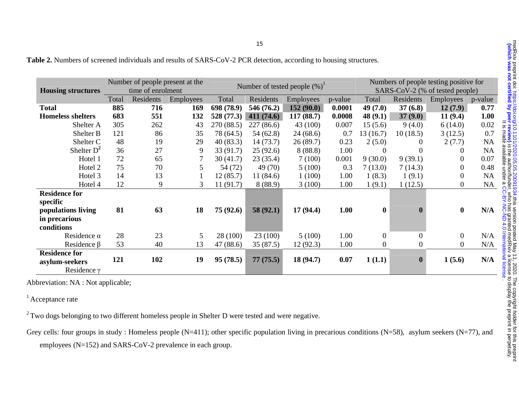|                           | Number of people present at the<br>time of enrolment |           |                  | Number of tested people $(\%)^1$ |            |                  | Numbers of people testing positive for |                |                                 |                  |           |
|---------------------------|------------------------------------------------------|-----------|------------------|----------------------------------|------------|------------------|----------------------------------------|----------------|---------------------------------|------------------|-----------|
| <b>Housing structures</b> |                                                      |           |                  |                                  |            |                  |                                        |                | SARS-CoV-2 (% of tested people) |                  |           |
|                           | Total                                                | Residents | <b>Employees</b> | Total                            | Residents  | <b>Employees</b> | p-value                                | Total          | Residents                       | <b>Employees</b> | p-value   |
| <b>Total</b>              | 885                                                  | 716       | 169              | 698 (78.9)                       | 546 (76.2) | 152(90.0)        | 0.0001                                 | 49 (7.0)       | 37(6.8)                         | 12(7.9)          | 0.77      |
| <b>Homeless shelters</b>  | 683                                                  | 551       | 132              | 528 (77.3)                       | 411(74.6)  | 117 (88.7)       | 0.0008                                 | 48(9.1)        | 37(9.0)                         | 11(9.4)          | 1.00      |
| Shelter A                 | 305                                                  | 262       | 43               | 270 (88.5)                       | 227(86.6)  | 43 (100)         | 0.007                                  | 15(5.6)        | 9(4.0)                          | 6(14.0)          | 0.02      |
| Shelter B                 | 121                                                  | 86        | 35               | 78 (64.5)                        | 54(62.8)   | 24(68.6)         | 0.7                                    | 13(16.7)       | 10(18.5)                        | 3(12.5)          | 0.7       |
| Shelter <sub>C</sub>      | 48                                                   | 19        | 29               | 40(83.3)                         | 14(73.7)   | 26(89.7)         | 0.23                                   | 2(5.0)         |                                 | 2(7.7)           | <b>NA</b> |
| Shelter $D^2$             | 36                                                   | 27        | 9                | 33(91.7)                         | 25(92.6)   | 8(88.8)          | 1.00                                   | $\theta$       |                                 | $\theta$         | <b>NA</b> |
| Hotel 1                   | 72                                                   | 65        |                  | 30(41.7)                         | 23(35.4)   | 7(100)           | 0.001                                  | 9(30.0)        | 9(39.1)                         | 0                | 0.07      |
| Hotel 2                   | 75                                                   | 70        | 5                | 54 (72)                          | 49 (70)    | 5(100)           | 0.3                                    | 7(13.0)        | 7(14.3)                         | $\theta$         | 0.48      |
| Hotel 3                   | 14                                                   | 13        |                  | 12(85.7)                         | 11(84.6)   | 1(100)           | 1.00                                   | 1(8.3)         | 1(9.1)                          | $\Omega$         | <b>NA</b> |
| Hotel 4                   | 12                                                   | 9         | 3                | 11(91.7)                         | 8(88.9)    | 3(100)           | 1.00                                   | 1(9.1)         | 1(12.5)                         | $\overline{0}$   | <b>NA</b> |
| <b>Residence for</b>      |                                                      |           |                  |                                  |            |                  |                                        |                |                                 |                  |           |
| specific                  |                                                      |           |                  |                                  |            |                  |                                        |                |                                 |                  |           |
| populations living        | 81                                                   | 63        | 18               | 75 (92.6)                        | 58(92.1)   | 17(94.4)         | 1.00                                   | $\bf{0}$       |                                 | $\bf{0}$         | N/A       |
| in precarious             |                                                      |           |                  |                                  |            |                  |                                        |                |                                 |                  |           |
| conditions                |                                                      |           |                  |                                  |            |                  |                                        |                |                                 |                  |           |
| Residence $\alpha$        | 28                                                   | 23        | 5                | 28 (100)                         | 23(100)    | 5(100)           | 1.00                                   | $\Omega$       | $\Omega$                        | $\overline{0}$   | N/A       |
| Residence $\beta$         | 53                                                   | 40        | 13               | 47 (88.6)                        | 35 (87.5)  | 12(92.3)         | 1.00                                   | $\overline{0}$ |                                 | $\overline{0}$   | N/A       |
| <b>Residence for</b>      |                                                      |           |                  |                                  |            |                  |                                        |                |                                 |                  |           |
| asylum-seekers            | 121                                                  | 102       | 19               | 95(78.5)                         | 77(75.5)   | 18(94.7)         | 0.07                                   | 1(1.1)         |                                 | 1(5.6)           | N/A       |
| Residence $\gamma$        |                                                      |           |                  |                                  |            |                  |                                        |                |                                 |                  |           |

|  |  | Table 2. Numbers of screened individuals and results of SARS-CoV-2 PCR detection, according to housing structures. |
|--|--|--------------------------------------------------------------------------------------------------------------------|
|  |  |                                                                                                                    |

Abbreviation: NA : Not applicable;

<sup>1</sup> Acceptance rate

<sup>2</sup> Two dogs belonging to two different homeless people in Shelter D were tested and were negative.

Grey cells: four groups in study : Homeless people (N=411); other specific population living in precarious conditions (N=58), asylum seekers (N=77), and employees (N=152) and SARS-CoV-2 prevalence in each group.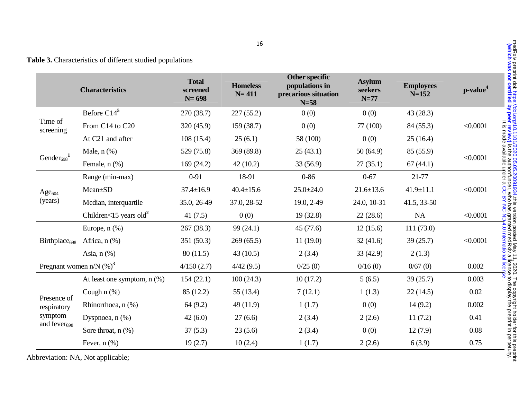|  | Table 3. Characteristics of different studied populations |  |  |  |
|--|-----------------------------------------------------------|--|--|--|
|--|-----------------------------------------------------------|--|--|--|

|                              | <b>Characteristics</b>                    | <b>Total</b><br>screened<br>$N = 698$ | <b>Homeless</b><br>$N = 411$ | Other specific<br>populations in<br>precarious situation<br>$N=58$ | <b>Asylum</b><br>seekers<br>$N=77$ | <b>Employees</b><br>$N = 152$ | p-value <sup>4</sup> |
|------------------------------|-------------------------------------------|---------------------------------------|------------------------------|--------------------------------------------------------------------|------------------------------------|-------------------------------|----------------------|
|                              | Before $C14^5$                            | 270(38.7)                             | 227(55.2)                    | 0(0)                                                               | 0(0)                               | 43(28.3)                      |                      |
| Time of<br>screening         | From C14 to C20                           | 320(45.9)                             | 159(38.7)                    | 0(0)                                                               | 77 (100)                           | 84 (55.3)                     | < 0.0001             |
|                              | At C21 and after                          | 108(15.4)                             | 25(6.1)                      | 58 (100)                                                           | 0(0)                               | 25(16.4)                      |                      |
|                              | Male, $n$ $(\%)$                          | 529 (75.8)                            | 369 (89.8)                   | 25(43.1)                                                           | 50(64.9)                           | 85 (55.9)                     |                      |
| Gender $_{698}$ <sup>1</sup> | Female, $n$ $(\%)$                        | 169(24.2)                             | 42(10.2)                     | 33(56.9)                                                           | 27(35.1)                           | 67(44.1)                      | < 0.0001             |
|                              | Range (min-max)                           | $0 - 91$                              | 18-91                        | $0 - 86$                                                           | $0 - 67$                           | 21-77                         |                      |
| Age <sub>604</sub>           | Mean±SD                                   | $37.4 \pm 16.9$                       | $40.4 \pm 15.6$              | $25.0 \pm 24.0$                                                    | $21.6 \pm 13.6$                    | $41.9 \pm 11.1$               | < 0.0001             |
| (years)                      | Median, interquartile                     | 35.0, 26-49                           | 37.0, 28-52                  | 19.0, 2-49                                                         | 24.0, 10-31                        | $41.5, 33-50$                 |                      |
|                              | Children $\leq$ 15 years old <sup>2</sup> | 41(7.5)                               | 0(0)                         | 19(32.8)                                                           | 22(28.6)                           | <b>NA</b>                     | < 0.0001             |
|                              | Europe, $n$ $%$                           | 267(38.3)                             | 99(24.1)                     | 45(77.6)                                                           | 12(15.6)                           | 111(73.0)                     |                      |
| Birthplace <sub>698</sub>    | Africa, $n$ $%$                           | 351 (50.3)                            | 269(65.5)                    | 11(19.0)                                                           | 32(41.6)                           | 39(25.7)                      | < 0.0001             |
|                              | Asia, $n$ $(\%)$                          | 80(11.5)                              | 43(10.5)                     | 2(3.4)                                                             | 33(42.9)                           | 2(1.3)                        |                      |
|                              | Pregnant women n/N $(\%)^3$               | 4/150(2.7)                            | 4/42(9.5)                    | 0/25(0)                                                            | 0/16(0)                            | 0/67(0)                       | 0.002                |
|                              | At least one symptom, $n$ $%$ )           | 154(22.1)                             | 100(24.3)                    | 10(17.2)                                                           | 5(6.5)                             | 39(25.7)                      | 0.003                |
|                              | Cough $n$ (%)                             | 85 (12.2)                             | 55(13.4)                     | 7(12.1)                                                            | 1(1.3)                             | 22(14.5)                      | 0.02                 |
| Presence of<br>respiratory   | Rhinorrhoea, n (%)                        | 64(9.2)                               | 49(11.9)                     | 1(1.7)                                                             | 0(0)                               | 14(9.2)                       | 0.002                |
| symptom                      | Dyspnoea, $n$ $(\%)$                      | 42(6.0)                               | 27(6.6)                      | 2(3.4)                                                             | 2(2.6)                             | 11(7.2)                       | 0.41                 |
| and fever <sub>698</sub>     | Sore throat, $n$ $(\%)$                   | 37(5.3)                               | 23(5.6)                      | 2(3.4)                                                             | 0(0)                               | 12(7.9)                       | 0.08                 |
|                              | Fever, $n$ $(\%)$                         | 19(2.7)                               | 10(2.4)                      | 1(1.7)                                                             | 2(2.6)                             | 6(3.9)                        | 0.75                 |

Abbreviation: NA, Not applicable;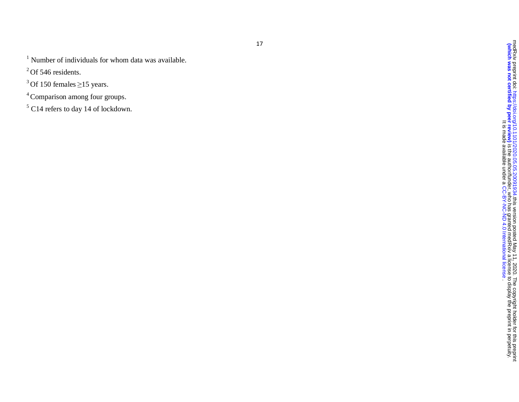$1$  Number of individuals for whom data was available.

 $2^2$  Of 546 residents.

<sup>3</sup> Of 150 females  $\geq$ 15 years.

4 Comparison among four groups.

 $5$  C14 refers to day 14 of lockdown.